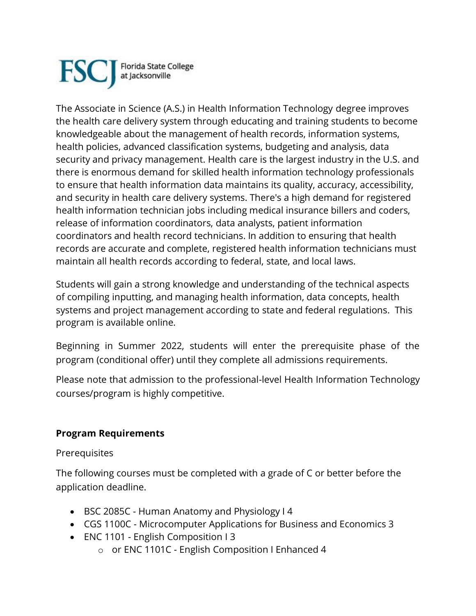

The Associate in Science (A.S.) in Health Information Technology degree improves the health care delivery system through educating and training students to become knowledgeable about the management of health records, information systems, health policies, advanced classification systems, budgeting and analysis, data security and privacy management. Health care is the largest industry in the U.S. and there is enormous demand for skilled health information technology professionals to ensure that health information data maintains its quality, accuracy, accessibility, and security in health care delivery systems. There's a high demand for registered health information technician jobs including medical insurance billers and coders, release of information coordinators, data analysts, patient information coordinators and health record technicians. In addition to ensuring that health records are accurate and complete, registered health information technicians must maintain all health records according to federal, state, and local laws.

Students will gain a strong knowledge and understanding of the technical aspects of compiling inputting, and managing health information, data concepts, health systems and project management according to state and federal regulations. This program is available online.

Beginning in Summer 2022, students will enter the prerequisite phase of the program (conditional offer) until they complete all admissions requirements.

Please note that admission to the professional-level Health Information Technology courses/program is highly competitive.

## **Program Requirements**

**Prerequisites** 

The following courses must be completed with a grade of C or better before the application deadline.

- BSC 2085C Human Anatomy and Physiology I 4
- CGS 1100C Microcomputer Applications for Business and Economics 3
- ENC 1101 English Composition I 3
	- o or ENC 1101C English Composition I Enhanced 4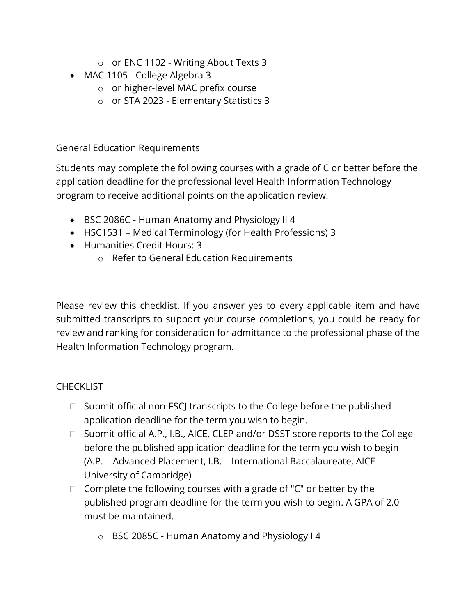- o or ENC 1102 Writing About Texts 3
- MAC 1105 College Algebra 3
	- o or higher-level MAC prefix course
	- o or STA 2023 Elementary Statistics 3

General Education Requirements

Students may complete the following courses with a grade of C or better before the application deadline for the professional level Health Information Technology program to receive additional points on the application review.

- BSC 2086C Human Anatomy and Physiology II 4
- HSC1531 Medical Terminology (for Health Professions) 3
- Humanities Credit Hours: 3
	- o Refer to General Education Requirements

Please review this checklist. If you answer yes to every applicable item and have submitted transcripts to support your course completions, you could be ready for review and ranking for consideration for admittance to the professional phase of the Health Information Technology program.

## **CHECKLIST**

- $\Box$  Submit official non-FSCJ transcripts to the College before the published application deadline for the term you wish to begin.
- $\Box$  Submit official A.P., I.B., AICE, CLEP and/or DSST score reports to the College before the published application deadline for the term you wish to begin (A.P. – Advanced Placement, I.B. – International Baccalaureate, AICE – University of Cambridge)
- $\Box$  Complete the following courses with a grade of "C" or better by the published program deadline for the term you wish to begin. A GPA of 2.0 must be maintained.
	- o BSC 2085C Human Anatomy and Physiology I 4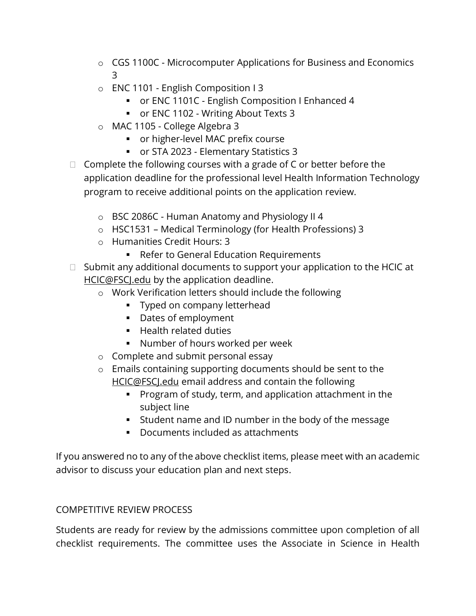- o CGS 1100C Microcomputer Applications for Business and Economics 3
- o ENC 1101 English Composition I 3
	- or ENC 1101C English Composition I Enhanced 4
	- or ENC 1102 Writing About Texts 3
- o MAC 1105 College Algebra 3
	- or higher-level MAC prefix course
	- or STA 2023 Elementary Statistics 3
- $\Box$  Complete the following courses with a grade of C or better before the application deadline for the professional level Health Information Technology program to receive additional points on the application review.
	- o BSC 2086C Human Anatomy and Physiology II 4
	- o HSC1531 Medical Terminology (for Health Professions) 3
	- o Humanities Credit Hours: 3
		- Refer to General Education Requirements
- $\Box$  Submit any additional documents to support your application to the HCIC at [HCIC@FSCJ.edu](mailto:HCIC@FSCJ.edu) by the application deadline.
	- o Work Verification letters should include the following
		- **•** Typed on company letterhead
		- Dates of employment
		- Health related duties
		- Number of hours worked per week
	- o Complete and submit personal essay
	- o Emails containing supporting documents should be sent to the [HCIC@FSCJ.edu](mailto:HCIC@FSCJ.edu) email address and contain the following
		- Program of study, term, and application attachment in the subject line
		- Student name and ID number in the body of the message
		- Documents included as attachments

If you answered no to any of the above checklist items, please meet with an academic advisor to discuss your education plan and next steps.

## COMPETITIVE REVIEW PROCESS

Students are ready for review by the admissions committee upon completion of all checklist requirements. The committee uses the Associate in Science in Health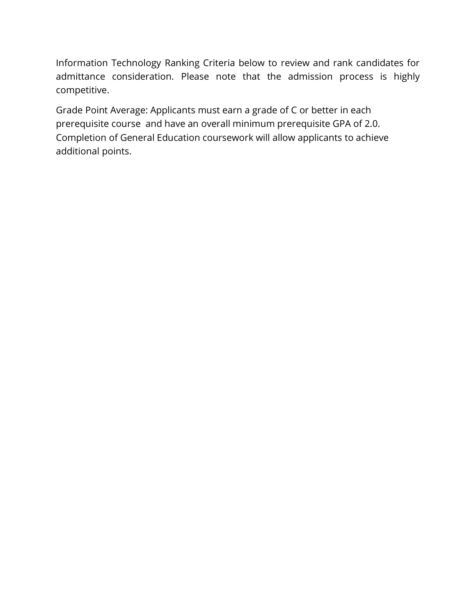Information Technology Ranking Criteria below to review and rank candidates for admittance consideration. Please note that the admission process is highly competitive.

Grade Point Average: Applicants must earn a grade of C or better in each prerequisite course and have an overall minimum prerequisite GPA of 2.0. Completion of General Education coursework will allow applicants to achieve additional points.